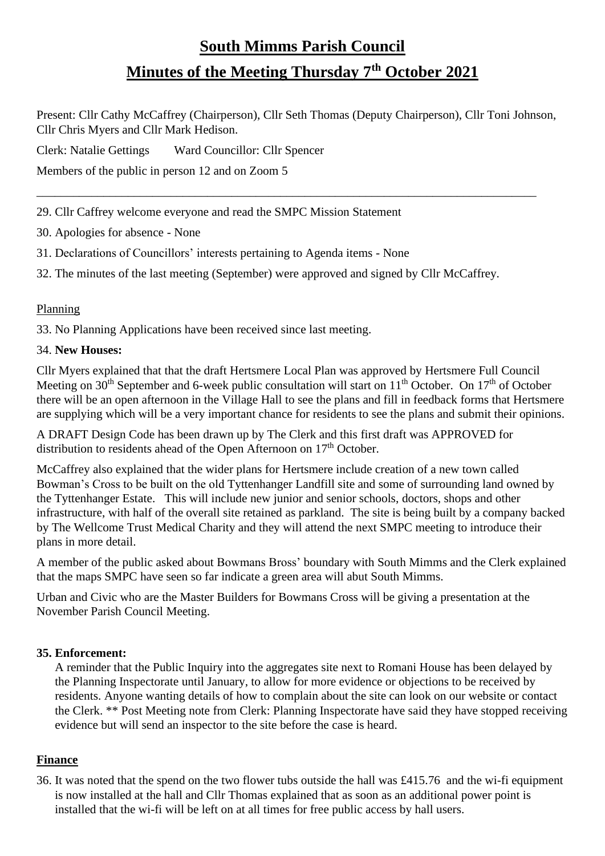# **South Mimms Parish Council Minutes of the Meeting Thursday 7th October 2021**

Present: Cllr Cathy McCaffrey (Chairperson), Cllr Seth Thomas (Deputy Chairperson), Cllr Toni Johnson, Cllr Chris Myers and Cllr Mark Hedison.

\_\_\_\_\_\_\_\_\_\_\_\_\_\_\_\_\_\_\_\_\_\_\_\_\_\_\_\_\_\_\_\_\_\_\_\_\_\_\_\_\_\_\_\_\_\_\_\_\_\_\_\_\_\_\_\_\_\_\_\_\_\_\_\_\_\_\_\_\_\_\_\_\_\_\_\_\_\_\_\_\_\_

Clerk: Natalie Gettings Ward Councillor: Cllr Spencer

Members of the public in person 12 and on Zoom 5

29. Cllr Caffrey welcome everyone and read the SMPC Mission Statement

30. Apologies for absence - None

31. Declarations of Councillors' interests pertaining to Agenda items - None

32. The minutes of the last meeting (September) were approved and signed by Cllr McCaffrey.

### Planning

33. No Planning Applications have been received since last meeting.

#### 34. **New Houses:**

Cllr Myers explained that that the draft Hertsmere Local Plan was approved by Hertsmere Full Council Meeting on  $30<sup>th</sup>$  September and 6-week public consultation will start on  $11<sup>th</sup>$  October. On  $17<sup>th</sup>$  of October there will be an open afternoon in the Village Hall to see the plans and fill in feedback forms that Hertsmere are supplying which will be a very important chance for residents to see the plans and submit their opinions.

A DRAFT Design Code has been drawn up by The Clerk and this first draft was APPROVED for distribution to residents ahead of the Open Afternoon on 17<sup>th</sup> October.

McCaffrey also explained that the wider plans for Hertsmere include creation of a new town called Bowman's Cross to be built on the old Tyttenhanger Landfill site and some of surrounding land owned by the Tyttenhanger Estate. This will include new junior and senior schools, doctors, shops and other infrastructure, with half of the overall site retained as parkland. The site is being built by a company backed by The Wellcome Trust Medical Charity and they will attend the next SMPC meeting to introduce their plans in more detail.

A member of the public asked about Bowmans Bross' boundary with South Mimms and the Clerk explained that the maps SMPC have seen so far indicate a green area will abut South Mimms.

Urban and Civic who are the Master Builders for Bowmans Cross will be giving a presentation at the November Parish Council Meeting.

## **35. Enforcement:**

A reminder that the Public Inquiry into the aggregates site next to Romani House has been delayed by the Planning Inspectorate until January, to allow for more evidence or objections to be received by residents. Anyone wanting details of how to complain about the site can look on our website or contact the Clerk. \*\* Post Meeting note from Clerk: Planning Inspectorate have said they have stopped receiving evidence but will send an inspector to the site before the case is heard.

## **Finance**

36. It was noted that the spend on the two flower tubs outside the hall was £415.76 and the wi-fi equipment is now installed at the hall and Cllr Thomas explained that as soon as an additional power point is installed that the wi-fi will be left on at all times for free public access by hall users.